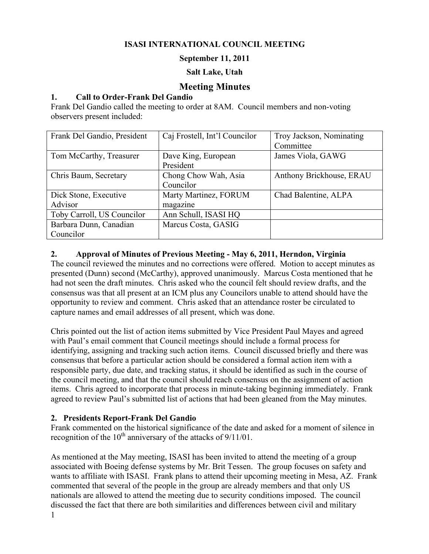## **ISASI INTERNATIONAL COUNCIL MEETING**

#### **September 11, 2011**

#### **Salt Lake, Utah**

## **Meeting Minutes**

#### **1. Call to Order-Frank Del Gandio**

Frank Del Gandio called the meeting to order at 8AM. Council members and non-voting observers present included:

| Frank Del Gandio, President | Caj Frostell, Int'l Councilor | Troy Jackson, Nominating |
|-----------------------------|-------------------------------|--------------------------|
|                             |                               | Committee                |
| Tom McCarthy, Treasurer     | Dave King, European           | James Viola, GAWG        |
|                             | President                     |                          |
| Chris Baum, Secretary       | Chong Chow Wah, Asia          | Anthony Brickhouse, ERAU |
|                             | Councilor                     |                          |
| Dick Stone, Executive       | Marty Martinez, FORUM         | Chad Balentine, ALPA     |
| Advisor                     | magazine                      |                          |
| Toby Carroll, US Councilor  | Ann Schull, ISASI HQ          |                          |
| Barbara Dunn, Canadian      | Marcus Costa, GASIG           |                          |
| Councilor                   |                               |                          |

#### **2. Approval of Minutes of Previous Meeting - May 6, 2011, Herndon, Virginia**

The council reviewed the minutes and no corrections were offered. Motion to accept minutes as presented (Dunn) second (McCarthy), approved unanimously. Marcus Costa mentioned that he had not seen the draft minutes. Chris asked who the council felt should review drafts, and the consensus was that all present at an ICM plus any Councilors unable to attend should have the opportunity to review and comment. Chris asked that an attendance roster be circulated to capture names and email addresses of all present, which was done.

Chris pointed out the list of action items submitted by Vice President Paul Mayes and agreed with Paul's email comment that Council meetings should include a formal process for identifying, assigning and tracking such action items. Council discussed briefly and there was consensus that before a particular action should be considered a formal action item with a responsible party, due date, and tracking status, it should be identified as such in the course of the council meeting, and that the council should reach consensus on the assignment of action items. Chris agreed to incorporate that process in minute-taking beginning immediately. Frank agreed to review Paul's submitted list of actions that had been gleaned from the May minutes.

#### **2. Presidents Report-Frank Del Gandio**

Frank commented on the historical significance of the date and asked for a moment of silence in recognition of the  $10^{th}$  anniversary of the attacks of  $9/11/01$ .

1 As mentioned at the May meeting, ISASI has been invited to attend the meeting of a group associated with Boeing defense systems by Mr. Brit Tessen. The group focuses on safety and wants to affiliate with ISASI. Frank plans to attend their upcoming meeting in Mesa, AZ. Frank commented that several of the people in the group are already members and that only US nationals are allowed to attend the meeting due to security conditions imposed. The council discussed the fact that there are both similarities and differences between civil and military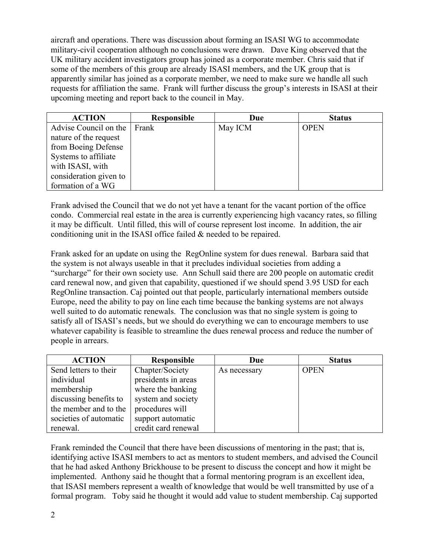aircraft and operations. There was discussion about forming an ISASI WG to accommodate military-civil cooperation although no conclusions were drawn. Dave King observed that the UK military accident investigators group has joined as a corporate member. Chris said that if some of the members of this group are already ISASI members, and the UK group that is apparently similar has joined as a corporate member, we need to make sure we handle all such requests for affiliation the same. Frank will further discuss the group's interests in ISASI at their upcoming meeting and report back to the council in May.

| <b>ACTION</b>          | <b>Responsible</b> | Due     | <b>Status</b> |
|------------------------|--------------------|---------|---------------|
| Advise Council on the  | Frank              | May ICM | <b>OPEN</b>   |
| nature of the request  |                    |         |               |
| from Boeing Defense    |                    |         |               |
| Systems to affiliate   |                    |         |               |
| with ISASI, with       |                    |         |               |
| consideration given to |                    |         |               |
| formation of a WG      |                    |         |               |

Frank advised the Council that we do not yet have a tenant for the vacant portion of the office condo. Commercial real estate in the area is currently experiencing high vacancy rates, so filling it may be difficult. Until filled, this will of course represent lost income. In addition, the air conditioning unit in the ISASI office failed & needed to be repaired.

Frank asked for an update on using the RegOnline system for dues renewal. Barbara said that the system is not always useable in that it precludes individual societies from adding a "surcharge" for their own society use. Ann Schull said there are 200 people on automatic credit card renewal now, and given that capability, questioned if we should spend 3.95 USD for each RegOnline transaction. Caj pointed out that people, particularly international members outside Europe, need the ability to pay on line each time because the banking systems are not always well suited to do automatic renewals. The conclusion was that no single system is going to satisfy all of ISASI's needs, but we should do everything we can to encourage members to use whatever capability is feasible to streamline the dues renewal process and reduce the number of people in arrears.

| <b>ACTION</b>          | <b>Responsible</b>  | Due          | <b>Status</b> |
|------------------------|---------------------|--------------|---------------|
| Send letters to their  | Chapter/Society     | As necessary | <b>OPEN</b>   |
| individual             | presidents in areas |              |               |
| membership             | where the banking   |              |               |
| discussing benefits to | system and society  |              |               |
| the member and to the  | procedures will     |              |               |
| societies of automatic | support automatic   |              |               |
| renewal.               | credit card renewal |              |               |

Frank reminded the Council that there have been discussions of mentoring in the past; that is, identifying active ISASI members to act as mentors to student members, and advised the Council that he had asked Anthony Brickhouse to be present to discuss the concept and how it might be implemented. Anthony said he thought that a formal mentoring program is an excellent idea, that ISASI members represent a wealth of knowledge that would be well transmitted by use of a formal program. Toby said he thought it would add value to student membership. Caj supported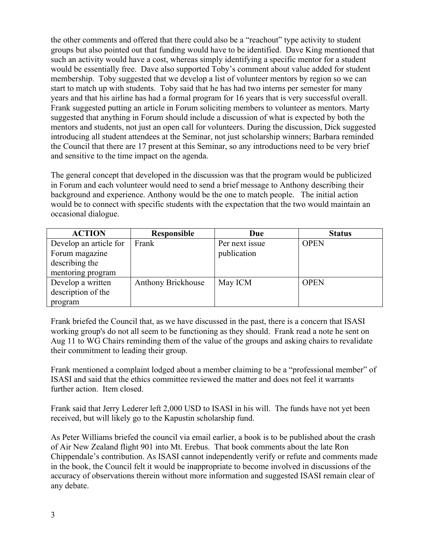the other comments and offered that there could also be a "reachout" type activity to student groups but also pointed out that funding would have to be identified. Dave King mentioned that such an activity would have a cost, whereas simply identifying a specific mentor for a student would be essentially free. Dave also supported Toby's comment about value added for student membership. Toby suggested that we develop a list of volunteer mentors by region so we can start to match up with students. Toby said that he has had two interns per semester for many years and that his airline has had a formal program for 16 years that is very successful overall. Frank suggested putting an article in Forum soliciting members to volunteer as mentors. Marty suggested that anything in Forum should include a discussion of what is expected by both the mentors and students, not just an open call for volunteers. During the discussion, Dick suggested introducing all student attendees at the Seminar, not just scholarship winners; Barbara reminded the Council that there are 17 present at this Seminar, so any introductions need to be very brief and sensitive to the time impact on the agenda.

The general concept that developed in the discussion was that the program would be publicized in Forum and each volunteer would need to send a brief message to Anthony describing their background and experience. Anthony would be the one to match people. The initial action would be to connect with specific students with the expectation that the two would maintain an occasional dialogue.

| <b>ACTION</b>          | Responsible        | Due            | <b>Status</b> |
|------------------------|--------------------|----------------|---------------|
| Develop an article for | Frank              | Per next issue | <b>OPEN</b>   |
| Forum magazine         |                    | publication    |               |
| describing the         |                    |                |               |
| mentoring program      |                    |                |               |
| Develop a written      | Anthony Brickhouse | May ICM        | <b>OPEN</b>   |
| description of the     |                    |                |               |
| program                |                    |                |               |

Frank briefed the Council that, as we have discussed in the past, there is a concern that ISASI working group's do not all seem to be functioning as they should. Frank read a note he sent on Aug 11 to WG Chairs reminding them of the value of the groups and asking chairs to revalidate their commitment to leading their group.

Frank mentioned a complaint lodged about a member claiming to be a "professional member" of ISASI and said that the ethics committee reviewed the matter and does not feel it warrants further action. Item closed.

Frank said that Jerry Lederer left 2,000 USD to ISASI in his will. The funds have not yet been received, but will likely go to the Kapustin scholarship fund.

As Peter Williams briefed the council via email earlier, a book is to be published about the crash of Air New Zealand flight 901 into Mt. Erebus. That book comments about the late Ron Chippendale's contribution. As ISASI cannot independently verify or refute and comments made in the book, the Council felt it would be inappropriate to become involved in discussions of the accuracy of observations therein without more information and suggested ISASI remain clear of any debate.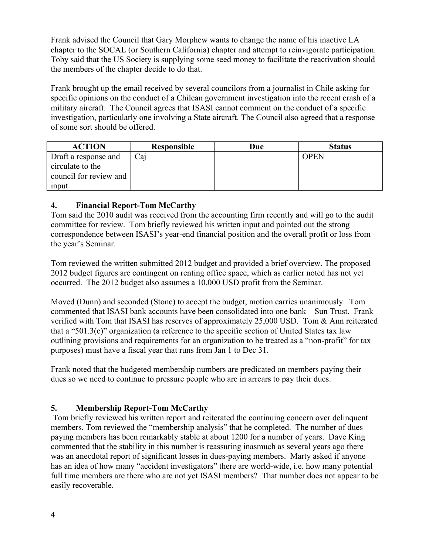Frank advised the Council that Gary Morphew wants to change the name of his inactive LA chapter to the SOCAL (or Southern California) chapter and attempt to reinvigorate participation. Toby said that the US Society is supplying some seed money to facilitate the reactivation should the members of the chapter decide to do that.

Frank brought up the email received by several councilors from a journalist in Chile asking for specific opinions on the conduct of a Chilean government investigation into the recent crash of a military aircraft. The Council agrees that ISASI cannot comment on the conduct of a specific investigation, particularly one involving a State aircraft. The Council also agreed that a response of some sort should be offered.

| <b>ACTION</b>          | <b>Responsible</b> | Due | <b>Status</b> |
|------------------------|--------------------|-----|---------------|
| Draft a response and   | Caj                |     | <b>OPEN</b>   |
| circulate to the       |                    |     |               |
| council for review and |                    |     |               |
| input                  |                    |     |               |

## **4. Financial Report-Tom McCarthy**

Tom said the 2010 audit was received from the accounting firm recently and will go to the audit committee for review. Tom briefly reviewed his written input and pointed out the strong correspondence between ISASI's year-end financial position and the overall profit or loss from the year's Seminar.

Tom reviewed the written submitted 2012 budget and provided a brief overview. The proposed 2012 budget figures are contingent on renting office space, which as earlier noted has not yet occurred. The 2012 budget also assumes a 10,000 USD profit from the Seminar.

Moved (Dunn) and seconded (Stone) to accept the budget, motion carries unanimously. Tom commented that ISASI bank accounts have been consolidated into one bank – Sun Trust. Frank verified with Tom that ISASI has reserves of approximately 25,000 USD. Tom & Ann reiterated that a "501.3(c)" organization (a reference to the specific section of United States tax law outlining provisions and requirements for an organization to be treated as a "non-profit" for tax purposes) must have a fiscal year that runs from Jan 1 to Dec 31.

Frank noted that the budgeted membership numbers are predicated on members paying their dues so we need to continue to pressure people who are in arrears to pay their dues.

## **5. Membership Report-Tom McCarthy**

Tom briefly reviewed his written report and reiterated the continuing concern over delinquent members. Tom reviewed the "membership analysis" that he completed. The number of dues paying members has been remarkably stable at about 1200 for a number of years. Dave King commented that the stability in this number is reassuring inasmuch as several years ago there was an anecdotal report of significant losses in dues-paying members. Marty asked if anyone has an idea of how many "accident investigators" there are world-wide, i.e. how many potential full time members are there who are not yet ISASI members? That number does not appear to be easily recoverable.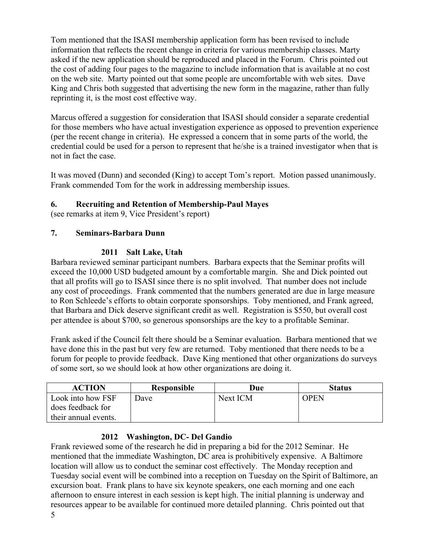Tom mentioned that the ISASI membership application form has been revised to include information that reflects the recent change in criteria for various membership classes. Marty asked if the new application should be reproduced and placed in the Forum. Chris pointed out the cost of adding four pages to the magazine to include information that is available at no cost on the web site. Marty pointed out that some people are uncomfortable with web sites. Dave King and Chris both suggested that advertising the new form in the magazine, rather than fully reprinting it, is the most cost effective way.

Marcus offered a suggestion for consideration that ISASI should consider a separate credential for those members who have actual investigation experience as opposed to prevention experience (per the recent change in criteria). He expressed a concern that in some parts of the world, the credential could be used for a person to represent that he/she is a trained investigator when that is not in fact the case.

It was moved (Dunn) and seconded (King) to accept Tom's report. Motion passed unanimously. Frank commended Tom for the work in addressing membership issues.

## **6. Recruiting and Retention of Membership-Paul Mayes**

(see remarks at item 9, Vice President's report)

## **7. Seminars-Barbara Dunn**

## **2011 Salt Lake, Utah**

Barbara reviewed seminar participant numbers. Barbara expects that the Seminar profits will exceed the 10,000 USD budgeted amount by a comfortable margin. She and Dick pointed out that all profits will go to ISASI since there is no split involved. That number does not include any cost of proceedings. Frank commented that the numbers generated are due in large measure to Ron Schleede's efforts to obtain corporate sponsorships. Toby mentioned, and Frank agreed, that Barbara and Dick deserve significant credit as well. Registration is \$550, but overall cost per attendee is about \$700, so generous sponsorships are the key to a profitable Seminar.

Frank asked if the Council felt there should be a Seminar evaluation. Barbara mentioned that we have done this in the past but very few are returned. Toby mentioned that there needs to be a forum for people to provide feedback. Dave King mentioned that other organizations do surveys of some sort, so we should look at how other organizations are doing it.

| <b>ACTION</b>        | Responsible | Due      | <b>Status</b> |
|----------------------|-------------|----------|---------------|
| Look into how FSF    | Dave        | Next ICM | <b>OPEN</b>   |
| does feedback for    |             |          |               |
| their annual events. |             |          |               |

## **2012 Washington, DC- Del Gandio**

5 Frank reviewed some of the research he did in preparing a bid for the 2012 Seminar. He mentioned that the immediate Washington, DC area is prohibitively expensive. A Baltimore location will allow us to conduct the seminar cost effectively. The Monday reception and Tuesday social event will be combined into a reception on Tuesday on the Spirit of Baltimore, an excursion boat. Frank plans to have six keynote speakers, one each morning and one each afternoon to ensure interest in each session is kept high. The initial planning is underway and resources appear to be available for continued more detailed planning. Chris pointed out that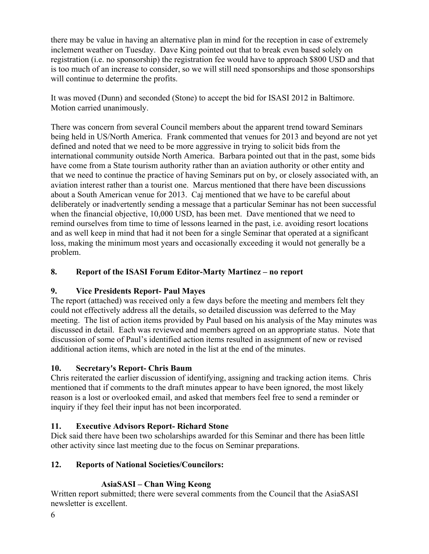there may be value in having an alternative plan in mind for the reception in case of extremely inclement weather on Tuesday. Dave King pointed out that to break even based solely on registration (i.e. no sponsorship) the registration fee would have to approach \$800 USD and that is too much of an increase to consider, so we will still need sponsorships and those sponsorships will continue to determine the profits.

It was moved (Dunn) and seconded (Stone) to accept the bid for ISASI 2012 in Baltimore. Motion carried unanimously.

There was concern from several Council members about the apparent trend toward Seminars being held in US/North America. Frank commented that venues for 2013 and beyond are not yet defined and noted that we need to be more aggressive in trying to solicit bids from the international community outside North America. Barbara pointed out that in the past, some bids have come from a State tourism authority rather than an aviation authority or other entity and that we need to continue the practice of having Seminars put on by, or closely associated with, an aviation interest rather than a tourist one. Marcus mentioned that there have been discussions about a South American venue for 2013. Caj mentioned that we have to be careful about deliberately or inadvertently sending a message that a particular Seminar has not been successful when the financial objective, 10,000 USD, has been met. Dave mentioned that we need to remind ourselves from time to time of lessons learned in the past, i.e. avoiding resort locations and as well keep in mind that had it not been for a single Seminar that operated at a significant loss, making the minimum most years and occasionally exceeding it would not generally be a problem.

# **8. Report of the ISASI Forum Editor-Marty Martinez – no report**

## **9. Vice Presidents Report- Paul Mayes**

The report (attached) was received only a few days before the meeting and members felt they could not effectively address all the details, so detailed discussion was deferred to the May meeting. The list of action items provided by Paul based on his analysis of the May minutes was discussed in detail. Each was reviewed and members agreed on an appropriate status. Note that discussion of some of Paul's identified action items resulted in assignment of new or revised additional action items, which are noted in the list at the end of the minutes.

## **10. Secretary's Report- Chris Baum**

Chris reiterated the earlier discussion of identifying, assigning and tracking action items. Chris mentioned that if comments to the draft minutes appear to have been ignored, the most likely reason is a lost or overlooked email, and asked that members feel free to send a reminder or inquiry if they feel their input has not been incorporated.

## **11. Executive Advisors Report- Richard Stone**

Dick said there have been two scholarships awarded for this Seminar and there has been little other activity since last meeting due to the focus on Seminar preparations.

## **12. Reports of National Societies/Councilors:**

# **AsiaSASI** *–* **Chan Wing Keong**

Written report submitted; there were several comments from the Council that the AsiaSASI newsletter is excellent.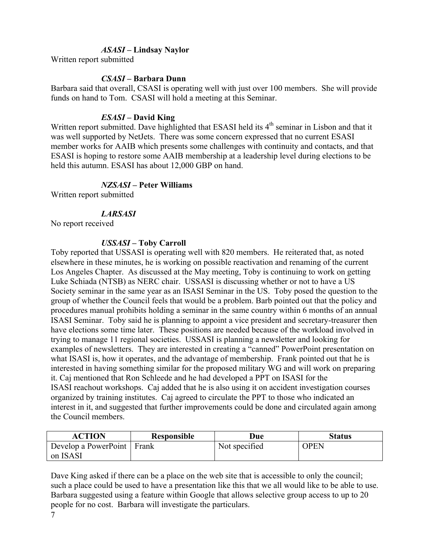#### *ASASI –* **Lindsay Naylor**

Written report submitted

#### *CSASI –* **Barbara Dunn**

Barbara said that overall, CSASI is operating well with just over 100 members. She will provide funds on hand to Tom. CSASI will hold a meeting at this Seminar.

#### *ESASI –* **David King**

Written report submitted. Dave highlighted that ESASI held its 4<sup>th</sup> seminar in Lisbon and that it was well supported by NetJets. There was some concern expressed that no current ESASI member works for AAIB which presents some challenges with continuity and contacts, and that ESASI is hoping to restore some AAIB membership at a leadership level during elections to be held this autumn. ESASI has about 12,000 GBP on hand.

#### *NZSASI –* **Peter Williams**

Written report submitted

#### *LARSASI*

No report received

#### *USSASI* **– Toby Carroll**

Toby reported that USSASI is operating well with 820 members. He reiterated that, as noted elsewhere in these minutes, he is working on possible reactivation and renaming of the current Los Angeles Chapter. As discussed at the May meeting, Toby is continuing to work on getting Luke Schiada (NTSB) as NERC chair. USSASI is discussing whether or not to have a US Society seminar in the same year as an ISASI Seminar in the US. Toby posed the question to the group of whether the Council feels that would be a problem. Barb pointed out that the policy and procedures manual prohibits holding a seminar in the same country within 6 months of an annual ISASI Seminar. Toby said he is planning to appoint a vice president and secretary-treasurer then have elections some time later. These positions are needed because of the workload involved in trying to manage 11 regional societies. USSASI is planning a newsletter and looking for examples of newsletters. They are interested in creating a "canned" PowerPoint presentation on what ISASI is, how it operates, and the advantage of membership. Frank pointed out that he is interested in having something similar for the proposed military WG and will work on preparing it. Caj mentioned that Ron Schleede and he had developed a PPT on ISASI for the ISASI reachout workshops. Caj added that he is also using it on accident investigation courses organized by training institutes. Caj agreed to circulate the PPT to those who indicated an interest in it, and suggested that further improvements could be done and circulated again among the Council members.

| <b>ACTION</b>                | <b>Responsible</b> | Due           | <b>Status</b> |
|------------------------------|--------------------|---------------|---------------|
| Develop a PowerPoint   Frank |                    | Not specified | <b>OPEN</b>   |
| on ISASI                     |                    |               |               |

Dave King asked if there can be a place on the web site that is accessible to only the council; such a place could be used to have a presentation like this that we all would like to be able to use. Barbara suggested using a feature within Google that allows selective group access to up to 20 people for no cost. Barbara will investigate the particulars.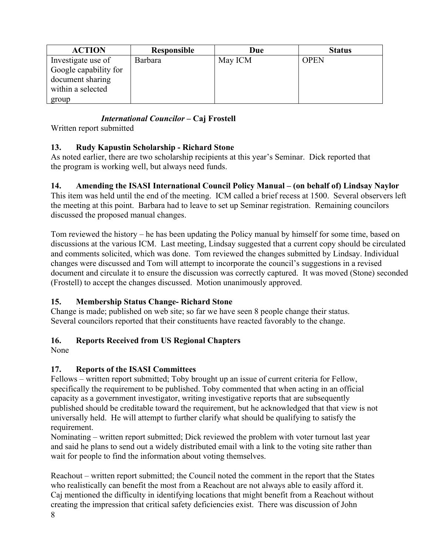| <b>ACTION</b>         | <b>Responsible</b> | Due     | <b>Status</b> |
|-----------------------|--------------------|---------|---------------|
| Investigate use of    | <b>Barbara</b>     | May ICM | <b>OPEN</b>   |
| Google capability for |                    |         |               |
| document sharing      |                    |         |               |
| within a selected     |                    |         |               |
| group                 |                    |         |               |

# *International Councilor –* **Caj Frostell**

Written report submitted

## **13. Rudy Kapustin Scholarship - Richard Stone**

As noted earlier, there are two scholarship recipients at this year's Seminar. Dick reported that the program is working well, but always need funds.

# **14. Amending the ISASI International Council Policy Manual – (on behalf of) Lindsay Naylor**

This item was held until the end of the meeting. ICM called a brief recess at 1500. Several observers left the meeting at this point. Barbara had to leave to set up Seminar registration. Remaining councilors discussed the proposed manual changes.

Tom reviewed the history – he has been updating the Policy manual by himself for some time, based on discussions at the various ICM. Last meeting, Lindsay suggested that a current copy should be circulated and comments solicited, which was done. Tom reviewed the changes submitted by Lindsay. Individual changes were discussed and Tom will attempt to incorporate the council's suggestions in a revised document and circulate it to ensure the discussion was correctly captured. It was moved (Stone) seconded (Frostell) to accept the changes discussed. Motion unanimously approved.

## **15. Membership Status Change- Richard Stone**

Change is made; published on web site; so far we have seen 8 people change their status. Several councilors reported that their constituents have reacted favorably to the change.

# **16. Reports Received from US Regional Chapters**

None

# **17. Reports of the ISASI Committees**

Fellows – written report submitted; Toby brought up an issue of current criteria for Fellow, specifically the requirement to be published. Toby commented that when acting in an official capacity as a government investigator, writing investigative reports that are subsequently published should be creditable toward the requirement, but he acknowledged that that view is not universally held. He will attempt to further clarify what should be qualifying to satisfy the requirement.

Nominating – written report submitted; Dick reviewed the problem with voter turnout last year and said he plans to send out a widely distributed email with a link to the voting site rather than wait for people to find the information about voting themselves.

Reachout – written report submitted; the Council noted the comment in the report that the States who realistically can benefit the most from a Reachout are not always able to easily afford it. Caj mentioned the difficulty in identifying locations that might benefit from a Reachout without creating the impression that critical safety deficiencies exist. There was discussion of John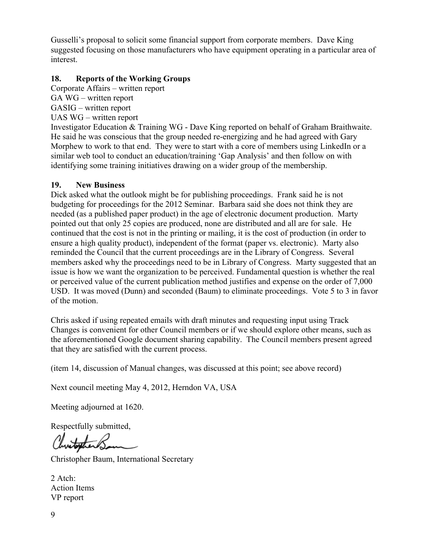Gusselli's proposal to solicit some financial support from corporate members. Dave King suggested focusing on those manufacturers who have equipment operating in a particular area of interest.

#### **18. Reports of the Working Groups**

Corporate Affairs – written report GA WG – written report GASIG – written report UAS WG – written report

Investigator Education & Training WG - Dave King reported on behalf of Graham Braithwaite. He said he was conscious that the group needed re-energizing and he had agreed with Gary Morphew to work to that end. They were to start with a core of members using LinkedIn or a similar web tool to conduct an education/training 'Gap Analysis' and then follow on with identifying some training initiatives drawing on a wider group of the membership.

#### **19. New Business**

Dick asked what the outlook might be for publishing proceedings. Frank said he is not budgeting for proceedings for the 2012 Seminar. Barbara said she does not think they are needed (as a published paper product) in the age of electronic document production. Marty pointed out that only 25 copies are produced, none are distributed and all are for sale. He continued that the cost is not in the printing or mailing, it is the cost of production (in order to ensure a high quality product), independent of the format (paper vs. electronic). Marty also reminded the Council that the current proceedings are in the Library of Congress. Several members asked why the proceedings need to be in Library of Congress. Marty suggested that an issue is how we want the organization to be perceived. Fundamental question is whether the real or perceived value of the current publication method justifies and expense on the order of 7,000 USD. It was moved (Dunn) and seconded (Baum) to eliminate proceedings. Vote 5 to 3 in favor of the motion.

Chris asked if using repeated emails with draft minutes and requesting input using Track Changes is convenient for other Council members or if we should explore other means, such as the aforementioned Google document sharing capability. The Council members present agreed that they are satisfied with the current process.

(item 14, discussion of Manual changes, was discussed at this point; see above record)

Next council meeting May 4, 2012, Herndon VA, USA

Meeting adjourned at 1620.

Respectfully submitted,

Christopher Baum, International Secretary

2 Atch: Action Items VP report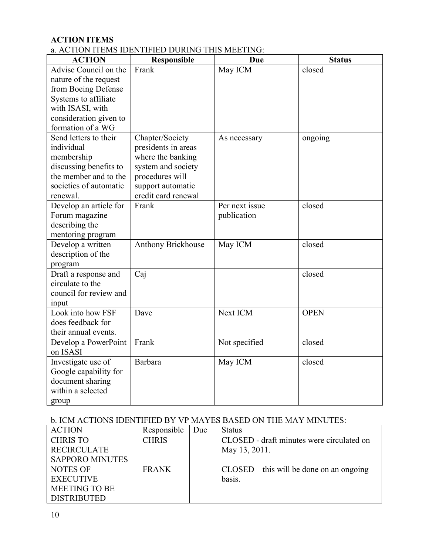## **ACTION ITEMS**

### a. ACTION ITEMS IDENTIFIED DURING THIS MEETING:

| <b>ACTION</b>                        | <b>Responsible</b>                      | Due            | <b>Status</b> |
|--------------------------------------|-----------------------------------------|----------------|---------------|
| Advise Council on the                | Frank                                   | May ICM        | closed        |
| nature of the request                |                                         |                |               |
| from Boeing Defense                  |                                         |                |               |
| Systems to affiliate                 |                                         |                |               |
| with ISASI, with                     |                                         |                |               |
| consideration given to               |                                         |                |               |
| formation of a WG                    |                                         |                |               |
| Send letters to their                | Chapter/Society                         | As necessary   | ongoing       |
| individual                           | presidents in areas                     |                |               |
| membership<br>discussing benefits to | where the banking<br>system and society |                |               |
| the member and to the                | procedures will                         |                |               |
| societies of automatic               | support automatic                       |                |               |
| renewal.                             | credit card renewal                     |                |               |
| Develop an article for               | Frank                                   | Per next issue | closed        |
| Forum magazine                       |                                         | publication    |               |
| describing the                       |                                         |                |               |
| mentoring program                    |                                         |                |               |
| Develop a written                    | Anthony Brickhouse                      | May ICM        | closed        |
| description of the                   |                                         |                |               |
| program                              |                                         |                |               |
| Draft a response and                 | Caj                                     |                | closed        |
| circulate to the                     |                                         |                |               |
| council for review and               |                                         |                |               |
| input                                |                                         |                |               |
| Look into how FSF                    | Dave                                    | Next ICM       | <b>OPEN</b>   |
| does feedback for                    |                                         |                |               |
| their annual events.                 |                                         |                |               |
| Develop a PowerPoint                 | Frank                                   | Not specified  | closed        |
| on ISASI                             |                                         |                |               |
| Investigate use of                   | Barbara                                 | May ICM        | closed        |
| Google capability for                |                                         |                |               |
| document sharing                     |                                         |                |               |
| within a selected                    |                                         |                |               |
| group                                |                                         |                |               |

## b. ICM ACTIONS IDENTIFIED BY VP MAYES BASED ON THE MAY MINUTES:

| <b>ACTION</b>          | Responsible  | Due | <b>Status</b>                              |
|------------------------|--------------|-----|--------------------------------------------|
| <b>CHRIS TO</b>        | <b>CHRIS</b> |     | CLOSED - draft minutes were circulated on  |
| <b>RECIRCULATE</b>     |              |     | May 13, 2011.                              |
| <b>SAPPORO MINUTES</b> |              |     |                                            |
| <b>NOTES OF</b>        | <b>FRANK</b> |     | $CLOSED - this will be done on an ongoing$ |
| <b>EXECUTIVE</b>       |              |     | basis.                                     |
| <b>MEETING TO BE</b>   |              |     |                                            |
| <b>DISTRIBUTED</b>     |              |     |                                            |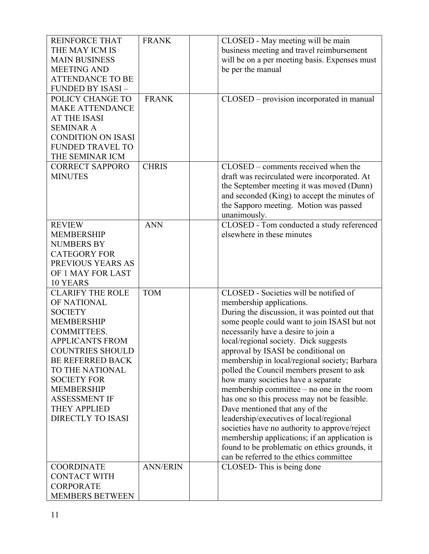| <b>REINFORCE THAT</b>                      | <b>FRANK</b>    | CLOSED - May meeting will be main                                                              |
|--------------------------------------------|-----------------|------------------------------------------------------------------------------------------------|
| THE MAY ICM IS                             |                 | business meeting and travel reimbursement                                                      |
| <b>MAIN BUSINESS</b>                       |                 | will be on a per meeting basis. Expenses must                                                  |
| <b>MEETING AND</b>                         |                 | be per the manual                                                                              |
| <b>ATTENDANCE TO BE</b>                    |                 |                                                                                                |
| FUNDED BY ISASI-                           |                 |                                                                                                |
| POLICY CHANGE TO                           | <b>FRANK</b>    | CLOSED – provision incorporated in manual                                                      |
| <b>MAKE ATTENDANCE</b>                     |                 |                                                                                                |
|                                            |                 |                                                                                                |
| <b>AT THE ISASI</b>                        |                 |                                                                                                |
| <b>SEMINAR A</b>                           |                 |                                                                                                |
| <b>CONDITION ON ISASI</b>                  |                 |                                                                                                |
| <b>FUNDED TRAVEL TO</b>                    |                 |                                                                                                |
| THE SEMINAR ICM                            |                 |                                                                                                |
| <b>CORRECT SAPPORO</b>                     | <b>CHRIS</b>    | CLOSED – comments received when the                                                            |
| <b>MINUTES</b>                             |                 | draft was recirculated were incorporated. At                                                   |
|                                            |                 | the September meeting it was moved (Dunn)                                                      |
|                                            |                 | and seconded (King) to accept the minutes of                                                   |
|                                            |                 | the Sapporo meeting. Motion was passed                                                         |
|                                            |                 | unanimously.                                                                                   |
| <b>REVIEW</b>                              | <b>ANN</b>      | CLOSED - Tom conducted a study referenced                                                      |
| <b>MEMBERSHIP</b>                          |                 | elsewhere in these minutes                                                                     |
| <b>NUMBERS BY</b>                          |                 |                                                                                                |
| <b>CATEGORY FOR</b>                        |                 |                                                                                                |
| PREVIOUS YEARS AS                          |                 |                                                                                                |
| OF 1 MAY FOR LAST                          |                 |                                                                                                |
| 10 YEARS                                   |                 |                                                                                                |
| <b>CLARIFY THE ROLE</b>                    | <b>TOM</b>      | CLOSED - Societies will be notified of                                                         |
| OF NATIONAL                                |                 |                                                                                                |
|                                            |                 | membership applications.                                                                       |
| <b>SOCIETY</b>                             |                 | During the discussion, it was pointed out that<br>some people could want to join ISASI but not |
| <b>MEMBERSHIP</b>                          |                 |                                                                                                |
| <b>COMMITTEES.</b>                         |                 |                                                                                                |
|                                            |                 | necessarily have a desire to join a                                                            |
| <b>APPLICANTS FROM</b>                     |                 | local/regional society. Dick suggests                                                          |
| <b>COUNTRIES SHOULD</b>                    |                 | approval by ISASI be conditional on                                                            |
| <b>BE REFERRED BACK</b>                    |                 | membership in local/regional society; Barbara                                                  |
| TO THE NATIONAL                            |                 | polled the Council members present to ask                                                      |
| <b>SOCIETY FOR</b>                         |                 | how many societies have a separate                                                             |
| <b>MEMBERSHIP</b>                          |                 | membership committee – no one in the room                                                      |
| <b>ASSESSMENT IF</b>                       |                 |                                                                                                |
|                                            |                 | has one so this process may not be feasible.                                                   |
| <b>THEY APPLIED</b>                        |                 | Dave mentioned that any of the                                                                 |
| <b>DIRECTLY TO ISASI</b>                   |                 | leadership/executives of local/regional                                                        |
|                                            |                 | societies have no authority to approve/reject                                                  |
|                                            |                 | membership applications; if an application is                                                  |
|                                            |                 | found to be problematic on ethics grounds, it                                                  |
|                                            |                 | can be referred to the ethics committee                                                        |
| <b>COORDINATE</b>                          | <b>ANN/ERIN</b> | CLOSED-This is being done                                                                      |
| <b>CONTACT WITH</b>                        |                 |                                                                                                |
| <b>CORPORATE</b><br><b>MEMBERS BETWEEN</b> |                 |                                                                                                |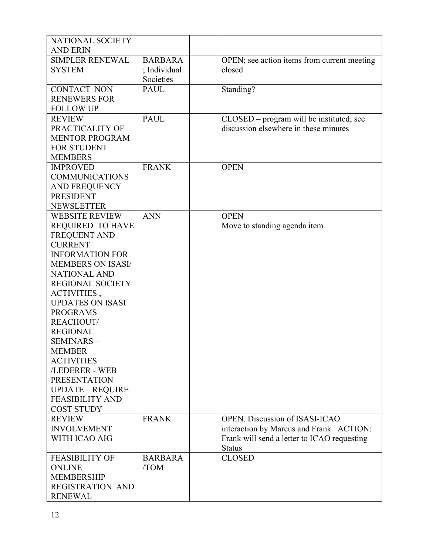| <b>NATIONAL SOCIETY</b>                |                |                                             |
|----------------------------------------|----------------|---------------------------------------------|
| <b>AND ERIN</b>                        |                |                                             |
| <b>SIMPLER RENEWAL</b>                 | <b>BARBARA</b> | OPEN; see action items from current meeting |
| <b>SYSTEM</b>                          | ; Individual   | closed                                      |
|                                        | Societies      |                                             |
| <b>CONTACT NON</b>                     | <b>PAUL</b>    | Standing?                                   |
| <b>RENEWERS FOR</b>                    |                |                                             |
| <b>FOLLOW UP</b>                       |                |                                             |
| <b>REVIEW</b>                          | <b>PAUL</b>    | CLOSED – program will be instituted; see    |
| PRACTICALITY OF                        |                | discussion elsewhere in these minutes       |
| <b>MENTOR PROGRAM</b>                  |                |                                             |
| <b>FOR STUDENT</b>                     |                |                                             |
| <b>MEMBERS</b>                         |                |                                             |
| <b>IMPROVED</b>                        | <b>FRANK</b>   | <b>OPEN</b>                                 |
| <b>COMMUNICATIONS</b>                  |                |                                             |
| AND FREQUENCY -                        |                |                                             |
| <b>PRESIDENT</b>                       |                |                                             |
| <b>NEWSLETTER</b>                      |                |                                             |
| <b>WEBSITE REVIEW</b>                  | <b>ANN</b>     | <b>OPEN</b>                                 |
| <b>REQUIRED TO HAVE</b>                |                | Move to standing agenda item                |
| <b>FREQUENT AND</b>                    |                |                                             |
| <b>CURRENT</b>                         |                |                                             |
| <b>INFORMATION FOR</b>                 |                |                                             |
| <b>MEMBERS ON ISASI/</b>               |                |                                             |
| <b>NATIONAL AND</b>                    |                |                                             |
| <b>REGIONAL SOCIETY</b>                |                |                                             |
|                                        |                |                                             |
| ACTIVITIES,<br><b>UPDATES ON ISASI</b> |                |                                             |
|                                        |                |                                             |
| PROGRAMS-                              |                |                                             |
| REACHOUT/                              |                |                                             |
| <b>REGIONAL</b>                        |                |                                             |
| <b>SEMINARS -</b>                      |                |                                             |
| <b>MEMBER</b>                          |                |                                             |
| <b>ACTIVITIES</b>                      |                |                                             |
| /LEDERER - WEB                         |                |                                             |
| <b>PRESENTATION</b>                    |                |                                             |
| <b>UPDATE - REQUIRE</b>                |                |                                             |
| <b>FEASIBILITY AND</b>                 |                |                                             |
| <b>COST STUDY</b>                      |                |                                             |
| <b>REVIEW</b>                          | <b>FRANK</b>   | <b>OPEN.</b> Discussion of ISASI-ICAO       |
| <b>INVOLVEMENT</b>                     |                | interaction by Marcus and Frank ACTION:     |
| WITH ICAO AIG                          |                | Frank will send a letter to ICAO requesting |
|                                        |                | <b>Status</b>                               |
| <b>FEASIBILITY OF</b>                  | <b>BARBARA</b> | <b>CLOSED</b>                               |
| <b>ONLINE</b>                          | /TOM           |                                             |
| <b>MEMBERSHIP</b>                      |                |                                             |
| <b>REGISTRATION AND</b>                |                |                                             |
| <b>RENEWAL</b>                         |                |                                             |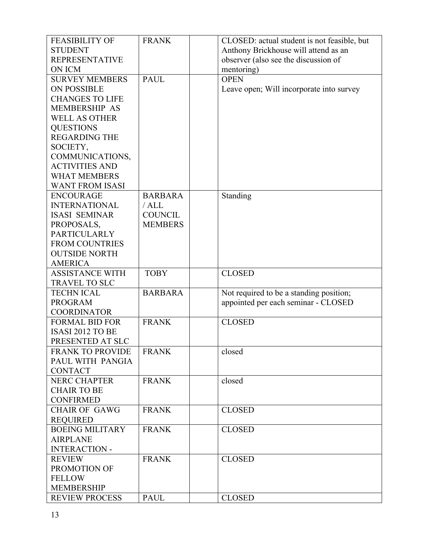| <b>FEASIBILITY OF</b>                    | <b>FRANK</b>   | CLOSED: actual student is not feasible, but |
|------------------------------------------|----------------|---------------------------------------------|
| <b>STUDENT</b>                           |                | Anthony Brickhouse will attend as an        |
| <b>REPRESENTATIVE</b>                    |                | observer (also see the discussion of        |
| ON ICM                                   |                | mentoring)                                  |
| <b>SURVEY MEMBERS</b>                    | <b>PAUL</b>    | <b>OPEN</b>                                 |
| <b>ON POSSIBLE</b>                       |                | Leave open; Will incorporate into survey    |
| <b>CHANGES TO LIFE</b>                   |                |                                             |
| <b>MEMBERSHIP AS</b>                     |                |                                             |
| <b>WELL AS OTHER</b>                     |                |                                             |
| <b>QUESTIONS</b>                         |                |                                             |
| <b>REGARDING THE</b>                     |                |                                             |
|                                          |                |                                             |
| SOCIETY,                                 |                |                                             |
| COMMUNICATIONS,<br><b>ACTIVITIES AND</b> |                |                                             |
|                                          |                |                                             |
| <b>WHAT MEMBERS</b>                      |                |                                             |
| <b>WANT FROM ISASI</b>                   |                |                                             |
| <b>ENCOURAGE</b>                         | <b>BARBARA</b> | Standing                                    |
| <b>INTERNATIONAL</b>                     | /ALL           |                                             |
| <b>ISASI SEMINAR</b>                     | <b>COUNCIL</b> |                                             |
| PROPOSALS,                               | <b>MEMBERS</b> |                                             |
| <b>PARTICULARLY</b>                      |                |                                             |
| <b>FROM COUNTRIES</b>                    |                |                                             |
| <b>OUTSIDE NORTH</b>                     |                |                                             |
| <b>AMERICA</b>                           |                |                                             |
| <b>ASSISTANCE WITH</b>                   | <b>TOBY</b>    | <b>CLOSED</b>                               |
| <b>TRAVEL TO SLC</b>                     |                |                                             |
| <b>TECHN ICAL</b>                        | <b>BARBARA</b> | Not required to be a standing position;     |
| <b>PROGRAM</b>                           |                | appointed per each seminar - CLOSED         |
| <b>COORDINATOR</b>                       |                |                                             |
| <b>FORMAL BID FOR</b>                    | <b>FRANK</b>   | <b>CLOSED</b>                               |
| ISASI 2012 TO BE                         |                |                                             |
| PRESENTED AT SLC                         |                |                                             |
| <b>FRANK TO PROVIDE</b>                  | <b>FRANK</b>   | closed                                      |
| PAUL WITH PANGIA                         |                |                                             |
| <b>CONTACT</b>                           |                |                                             |
| <b>NERC CHAPTER</b>                      | <b>FRANK</b>   | closed                                      |
| <b>CHAIR TO BE</b>                       |                |                                             |
| <b>CONFIRMED</b>                         |                |                                             |
| <b>CHAIR OF GAWG</b>                     | <b>FRANK</b>   | <b>CLOSED</b>                               |
| <b>REQUIRED</b>                          |                |                                             |
| <b>BOEING MILITARY</b>                   | <b>FRANK</b>   | <b>CLOSED</b>                               |
| <b>AIRPLANE</b>                          |                |                                             |
| <b>INTERACTION -</b>                     |                |                                             |
|                                          |                |                                             |
| <b>REVIEW</b>                            | <b>FRANK</b>   | <b>CLOSED</b>                               |
| PROMOTION OF                             |                |                                             |
| <b>FELLOW</b>                            |                |                                             |
| <b>MEMBERSHIP</b>                        |                |                                             |
| <b>REVIEW PROCESS</b>                    | <b>PAUL</b>    | <b>CLOSED</b>                               |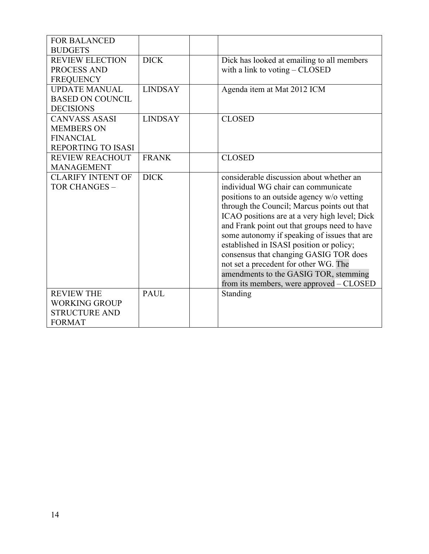| <b>FOR BALANCED</b>       |                |                                               |
|---------------------------|----------------|-----------------------------------------------|
| <b>BUDGETS</b>            |                |                                               |
| <b>REVIEW ELECTION</b>    | <b>DICK</b>    | Dick has looked at emailing to all members    |
| PROCESS AND               |                | with a link to voting $-$ CLOSED              |
| <b>FREQUENCY</b>          |                |                                               |
| <b>UPDATE MANUAL</b>      | <b>LINDSAY</b> | Agenda item at Mat 2012 ICM                   |
| <b>BASED ON COUNCIL</b>   |                |                                               |
| <b>DECISIONS</b>          |                |                                               |
| <b>CANVASS ASASI</b>      | <b>LINDSAY</b> | <b>CLOSED</b>                                 |
| <b>MEMBERS ON</b>         |                |                                               |
| <b>FINANCIAL</b>          |                |                                               |
| <b>REPORTING TO ISASI</b> |                |                                               |
| <b>REVIEW REACHOUT</b>    | <b>FRANK</b>   | <b>CLOSED</b>                                 |
| <b>MANAGEMENT</b>         |                |                                               |
| <b>CLARIFY INTENT OF</b>  | <b>DICK</b>    | considerable discussion about whether an      |
| <b>TOR CHANGES -</b>      |                | individual WG chair can communicate           |
|                           |                | positions to an outside agency w/o vetting    |
|                           |                | through the Council; Marcus points out that   |
|                           |                | ICAO positions are at a very high level; Dick |
|                           |                | and Frank point out that groups need to have  |
|                           |                | some autonomy if speaking of issues that are  |
|                           |                | established in ISASI position or policy;      |
|                           |                | consensus that changing GASIG TOR does        |
|                           |                | not set a precedent for other WG. The         |
|                           |                | amendments to the GASIG TOR, stemming         |
|                           |                | from its members, were approved – CLOSED      |
| <b>REVIEW THE</b>         | <b>PAUL</b>    | Standing                                      |
| <b>WORKING GROUP</b>      |                |                                               |
| <b>STRUCTURE AND</b>      |                |                                               |
| <b>FORMAT</b>             |                |                                               |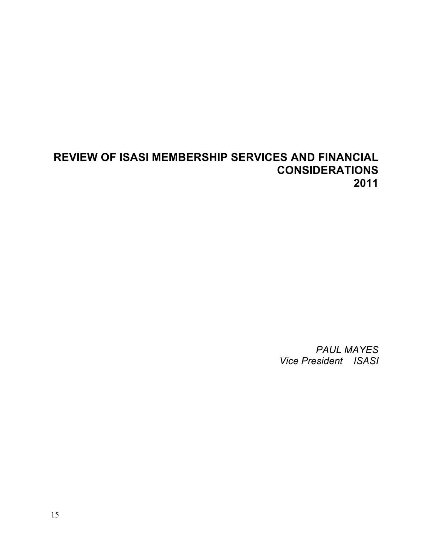# **REVIEW OF ISASI MEMBERSHIP SERVICES AND FINANCIAL CONSIDERATIONS 2011**

*PAUL MAYES Vice President ISASI*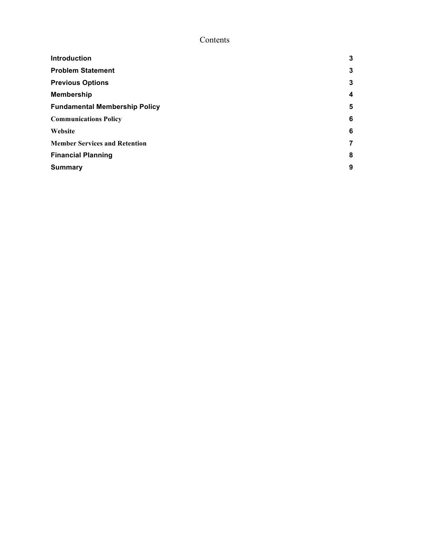# Contents

| <b>Introduction</b>                  | $\mathbf{3}$     |
|--------------------------------------|------------------|
| <b>Problem Statement</b>             | 3                |
| <b>Previous Options</b>              | 3                |
| Membership                           | $\boldsymbol{4}$ |
| <b>Fundamental Membership Policy</b> | 5                |
| <b>Communications Policy</b>         | 6                |
| Website                              | 6                |
| <b>Member Services and Retention</b> | $\overline{7}$   |
| <b>Financial Planning</b>            | 8                |
| <b>Summary</b>                       | 9                |
|                                      |                  |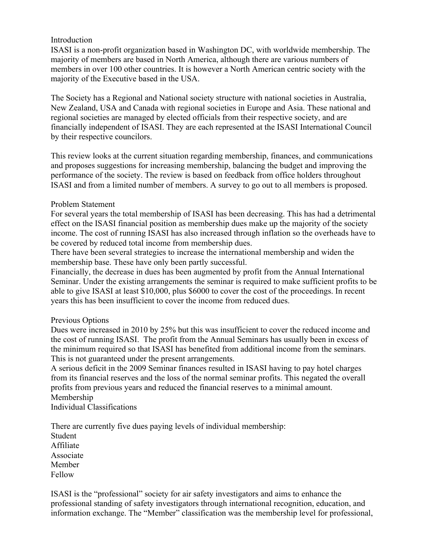#### **Introduction**

ISASI is a non-profit organization based in Washington DC, with worldwide membership. The majority of members are based in North America, although there are various numbers of members in over 100 other countries. It is however a North American centric society with the majority of the Executive based in the USA.

The Society has a Regional and National society structure with national societies in Australia, New Zealand, USA and Canada with regional societies in Europe and Asia. These national and regional societies are managed by elected officials from their respective society, and are financially independent of ISASI. They are each represented at the ISASI International Council by their respective councilors.

This review looks at the current situation regarding membership, finances, and communications and proposes suggestions for increasing membership, balancing the budget and improving the performance of the society. The review is based on feedback from office holders throughout ISASI and from a limited number of members. A survey to go out to all members is proposed.

#### Problem Statement

For several years the total membership of ISASI has been decreasing. This has had a detrimental effect on the ISASI financial position as membership dues make up the majority of the society income. The cost of running ISASI has also increased through inflation so the overheads have to be covered by reduced total income from membership dues.

There have been several strategies to increase the international membership and widen the membership base. These have only been partly successful.

Financially, the decrease in dues has been augmented by profit from the Annual International Seminar. Under the existing arrangements the seminar is required to make sufficient profits to be able to give ISASI at least \$10,000, plus \$6000 to cover the cost of the proceedings. In recent years this has been insufficient to cover the income from reduced dues.

#### Previous Options

Dues were increased in 2010 by 25% but this was insufficient to cover the reduced income and the cost of running ISASI. The profit from the Annual Seminars has usually been in excess of the minimum required so that ISASI has benefited from additional income from the seminars. This is not guaranteed under the present arrangements.

A serious deficit in the 2009 Seminar finances resulted in ISASI having to pay hotel charges from its financial reserves and the loss of the normal seminar profits. This negated the overall profits from previous years and reduced the financial reserves to a minimal amount. Membership

Individual Classifications

There are currently five dues paying levels of individual membership: Student Affiliate Associate Member Fellow

ISASI is the "professional" society for air safety investigators and aims to enhance the professional standing of safety investigators through international recognition, education, and information exchange. The "Member" classification was the membership level for professional,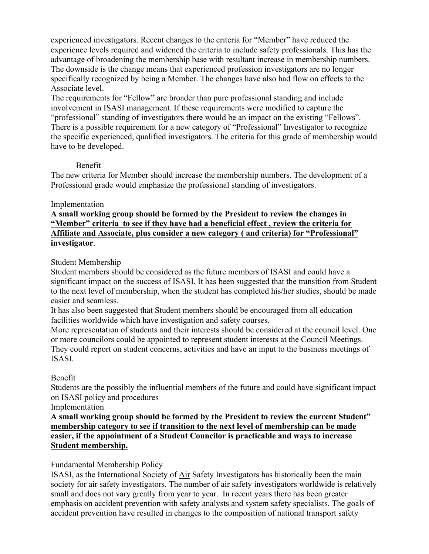experienced investigators. Recent changes to the criteria for "Member" have reduced the experience levels required and widened the criteria to include safety professionals. This has the advantage of broadening the membership base with resultant increase in membership numbers. The downside is the change means that experienced profession investigators are no longer specifically recognized by being a Member. The changes have also had flow on effects to the Associate level.

The requirements for "Fellow" are broader than pure professional standing and include involvement in ISASI management. If these requirements were modified to capture the "professional" standing of investigators there would be an impact on the existing "Fellows". There is a possible requirement for a new category of "Professional" Investigator to recognize the specific experienced, qualified investigators. The criteria for this grade of membership would have to be developed.

#### Benefit

The new criteria for Member should increase the membership numbers. The development of a Professional grade would emphasize the professional standing of investigators.

## Implementation

**A small working group should be formed by the President to review the changes in "Member" criteria to see if they have had a beneficial effect , review the criteria for Affiliate and Associate, plus consider a new category ( and criteria) for "Professional" investigator**.

## Student Membership

Student members should be considered as the future members of ISASI and could have a significant impact on the success of ISASI. It has been suggested that the transition from Student to the next level of membership, when the student has completed his/her studies, should be made easier and seamless.

It has also been suggested that Student members should be encouraged from all education facilities worldwide which have investigation and safety courses.

More representation of students and their interests should be considered at the council level. One or more councilors could be appointed to represent student interests at the Council Meetings. They could report on student concerns, activities and have an input to the business meetings of ISASI.

## Benefit

Students are the possibly the influential members of the future and could have significant impact on ISASI policy and procedures

Implementation

**A small working group should be formed by the President to review the current Student" membership category to see if transition to the next level of membership can be made easier, if the appointment of a Student Councilor is practicable and ways to increase Student membership.**

## Fundamental Membership Policy

ISASI, as the International Society of Air Safety Investigators has historically been the main society for air safety investigators. The number of air safety investigators worldwide is relatively small and does not vary greatly from year to year. In recent years there has been greater emphasis on accident prevention with safety analysts and system safety specialists. The goals of accident prevention have resulted in changes to the composition of national transport safety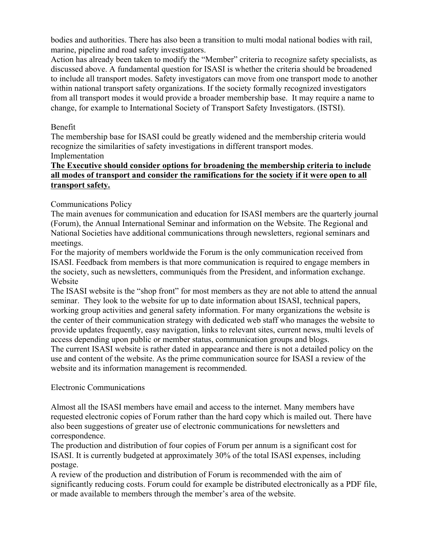bodies and authorities. There has also been a transition to multi modal national bodies with rail, marine, pipeline and road safety investigators.

Action has already been taken to modify the "Member" criteria to recognize safety specialists, as discussed above. A fundamental question for ISASI is whether the criteria should be broadened to include all transport modes. Safety investigators can move from one transport mode to another within national transport safety organizations. If the society formally recognized investigators from all transport modes it would provide a broader membership base. It may require a name to change, for example to International Society of Transport Safety Investigators. (ISTSI).

#### Benefit

The membership base for ISASI could be greatly widened and the membership criteria would recognize the similarities of safety investigations in different transport modes. Implementation

## **The Executive should consider options for broadening the membership criteria to include all modes of transport and consider the ramifications for the society if it were open to all transport safety.**

## Communications Policy

The main avenues for communication and education for ISASI members are the quarterly journal (Forum), the Annual International Seminar and information on the Website. The Regional and National Societies have additional communications through newsletters, regional seminars and meetings.

For the majority of members worldwide the Forum is the only communication received from ISASI. Feedback from members is that more communication is required to engage members in the society, such as newsletters, communiqués from the President, and information exchange. Website

The ISASI website is the "shop front" for most members as they are not able to attend the annual seminar. They look to the website for up to date information about ISASI, technical papers, working group activities and general safety information. For many organizations the website is the center of their communication strategy with dedicated web staff who manages the website to provide updates frequently, easy navigation, links to relevant sites, current news, multi levels of access depending upon public or member status, communication groups and blogs.

The current ISASI website is rather dated in appearance and there is not a detailed policy on the use and content of the website. As the prime communication source for ISASI a review of the website and its information management is recommended.

#### Electronic Communications

Almost all the ISASI members have email and access to the internet. Many members have requested electronic copies of Forum rather than the hard copy which is mailed out. There have also been suggestions of greater use of electronic communications for newsletters and correspondence.

The production and distribution of four copies of Forum per annum is a significant cost for ISASI. It is currently budgeted at approximately 30% of the total ISASI expenses, including postage.

A review of the production and distribution of Forum is recommended with the aim of significantly reducing costs. Forum could for example be distributed electronically as a PDF file, or made available to members through the member's area of the website.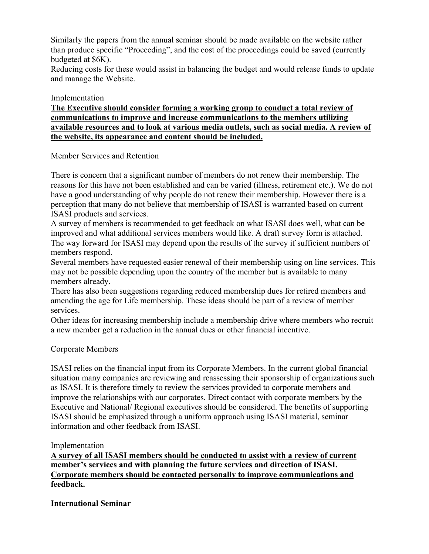Similarly the papers from the annual seminar should be made available on the website rather than produce specific "Proceeding", and the cost of the proceedings could be saved (currently budgeted at \$6K).

Reducing costs for these would assist in balancing the budget and would release funds to update and manage the Website.

#### Implementation

**The Executive should consider forming a working group to conduct a total review of communications to improve and increase communications to the members utilizing available resources and to look at various media outlets, such as social media. A review of the website, its appearance and content should be included.**

#### Member Services and Retention

There is concern that a significant number of members do not renew their membership. The reasons for this have not been established and can be varied (illness, retirement etc.). We do not have a good understanding of why people do not renew their membership. However there is a perception that many do not believe that membership of ISASI is warranted based on current ISASI products and services.

A survey of members is recommended to get feedback on what ISASI does well, what can be improved and what additional services members would like. A draft survey form is attached. The way forward for ISASI may depend upon the results of the survey if sufficient numbers of members respond.

Several members have requested easier renewal of their membership using on line services. This may not be possible depending upon the country of the member but is available to many members already.

There has also been suggestions regarding reduced membership dues for retired members and amending the age for Life membership. These ideas should be part of a review of member services.

Other ideas for increasing membership include a membership drive where members who recruit a new member get a reduction in the annual dues or other financial incentive.

#### Corporate Members

ISASI relies on the financial input from its Corporate Members. In the current global financial situation many companies are reviewing and reassessing their sponsorship of organizations such as ISASI. It is therefore timely to review the services provided to corporate members and improve the relationships with our corporates. Direct contact with corporate members by the Executive and National/ Regional executives should be considered. The benefits of supporting ISASI should be emphasized through a uniform approach using ISASI material, seminar information and other feedback from ISASI.

#### Implementation

**A survey of all ISASI members should be conducted to assist with a review of current member's services and with planning the future services and direction of ISASI. Corporate members should be contacted personally to improve communications and feedback.**

#### **International Seminar**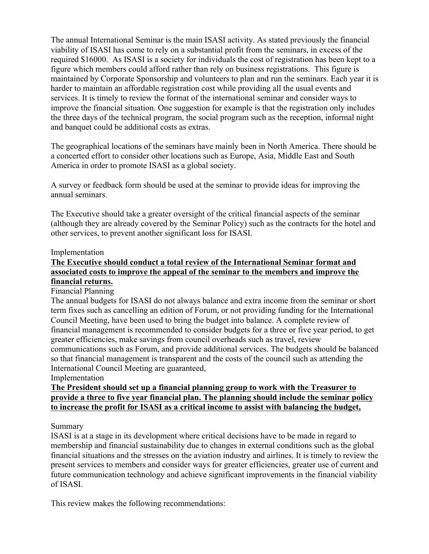The annual International Seminar is the main ISASI activity. As stated previously the financial viability of ISASI has come to rely on a substantial profit from the seminars, in excess of the required \$16000. As ISASI is a society for individuals the cost of registration has been kept to a figure which members could afford rather than rely on business registrations. This figure is maintained by Corporate Sponsorship and volunteers to plan and run the seminars. Each year it is harder to maintain an affordable registration cost while providing all the usual events and services. It is timely to review the format of the international seminar and consider ways to improve the financial situation. One suggestion for example is that the registration only includes the three days of the technical program, the social program such as the reception, informal night and banquet could be additional costs as extras.

The geographical locations of the seminars have mainly been in North America. There should be a concerted effort to consider other locations such as Europe, Asia, Middle East and South America in order to promote ISASI as a global society.

A survey or feedback form should be used at the seminar to provide ideas for improving the annual seminars.

The Executive should take a greater oversight of the critical financial aspects of the seminar (although they are already covered by the Seminar Policy) such as the contracts for the hotel and other services, to prevent another significant loss for ISASI.

#### Implementation

#### **The Executive should conduct a total review of the International Seminar format and associated costs to improve the appeal of the seminar to the members and improve the financial returns.**

#### Financial Planning

The annual budgets for ISASI do not always balance and extra income from the seminar or short term fixes such as cancelling an edition of Forum, or not providing funding for the International Council Meeting, have been used to bring the budget into balance. A complete review of financial management is recommended to consider budgets for a three or five year period, to get greater efficiencies, make savings from council overheads such as travel, review communications such as Forum, and provide additional services. The budgets should be balanced so that financial management is transparent and the costs of the council such as attending the International Council Meeting are guaranteed,

Implementation

#### **The President should set up a financial planning group to work with the Treasurer to provide a three to five year financial plan. The planning should include the seminar policy to increase the profit for ISASI as a critical income to assist with balancing the budget,**

#### Summary

ISASI is at a stage in its development where critical decisions have to be made in regard to membership and financial sustainability due to changes in external conditions such as the global financial situations and the stresses on the aviation industry and airlines. It is timely to review the present services to members and consider ways for greater efficiencies, greater use of current and future communication technology and achieve significant improvements in the financial viability of ISASI.

This review makes the following recommendations: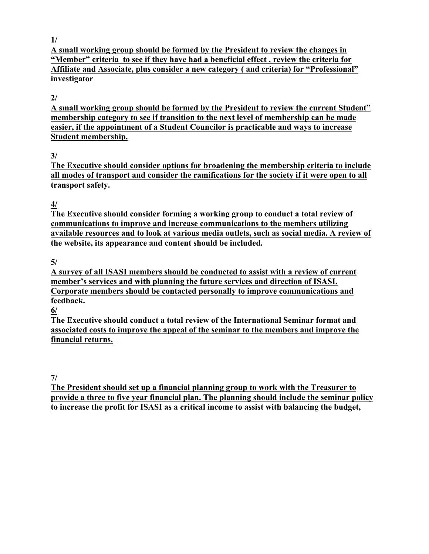**1/**

**A small working group should be formed by the President to review the changes in "Member" criteria to see if they have had a beneficial effect , review the criteria for Affiliate and Associate, plus consider a new category ( and criteria) for "Professional" investigator**

# **2/**

**A small working group should be formed by the President to review the current Student" membership category to see if transition to the next level of membership can be made easier, if the appointment of a Student Councilor is practicable and ways to increase Student membership.**

# **3/**

**The Executive should consider options for broadening the membership criteria to include all modes of transport and consider the ramifications for the society if it were open to all transport safety.**

**4/**

**The Executive should consider forming a working group to conduct a total review of communications to improve and increase communications to the members utilizing available resources and to look at various media outlets, such as social media. A review of the website, its appearance and content should be included.**

**5/**

**A survey of all ISASI members should be conducted to assist with a review of current member's services and with planning the future services and direction of ISASI. Corporate members should be contacted personally to improve communications and feedback.**

**6/**

**The Executive should conduct a total review of the International Seminar format and associated costs to improve the appeal of the seminar to the members and improve the financial returns.** 

**7/**

**The President should set up a financial planning group to work with the Treasurer to provide a three to five year financial plan. The planning should include the seminar policy to increase the profit for ISASI as a critical income to assist with balancing the budget,**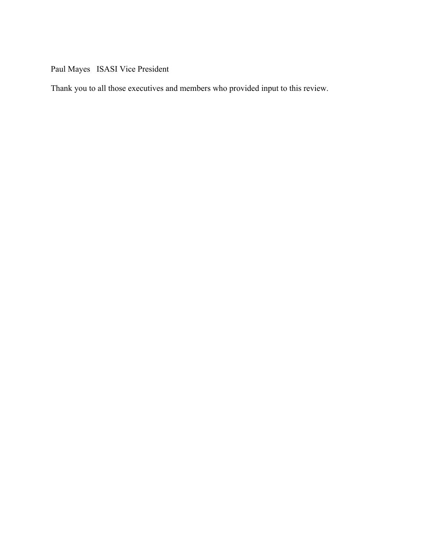Paul Mayes ISASI Vice President

Thank you to all those executives and members who provided input to this review.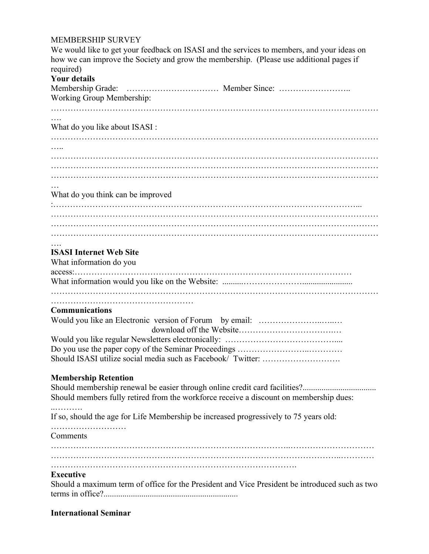#### MEMBERSHIP SURVEY

We would like to get your feedback on ISASI and the services to members, and your ideas on how we can improve the Society and grow the membership. (Please use additional pages if required)

# **Your details**

| Working Group Membership:                                                                      |  |
|------------------------------------------------------------------------------------------------|--|
|                                                                                                |  |
|                                                                                                |  |
| What do you like about ISASI :                                                                 |  |
|                                                                                                |  |
| .                                                                                              |  |
|                                                                                                |  |
|                                                                                                |  |
|                                                                                                |  |
|                                                                                                |  |
| What do you think can be improved                                                              |  |
|                                                                                                |  |
|                                                                                                |  |
|                                                                                                |  |
|                                                                                                |  |
| <b>ISASI Internet Web Site</b>                                                                 |  |
| What information do you                                                                        |  |
|                                                                                                |  |
|                                                                                                |  |
|                                                                                                |  |
|                                                                                                |  |
| <b>Communications</b>                                                                          |  |
|                                                                                                |  |
|                                                                                                |  |
|                                                                                                |  |
|                                                                                                |  |
|                                                                                                |  |
| <b>Membership Retention</b>                                                                    |  |
|                                                                                                |  |
| Should members fully retired from the workforce receive a discount on membership dues:         |  |
|                                                                                                |  |
| If so, should the age for Life Membership be increased progressively to 75 years old:          |  |
|                                                                                                |  |
| Comments                                                                                       |  |
|                                                                                                |  |
|                                                                                                |  |
|                                                                                                |  |
| <b>Executive</b>                                                                               |  |
| Should a maximum term of office for the President and Vice President be introduced such as two |  |

terms in office?................................................................

### **International Seminar**